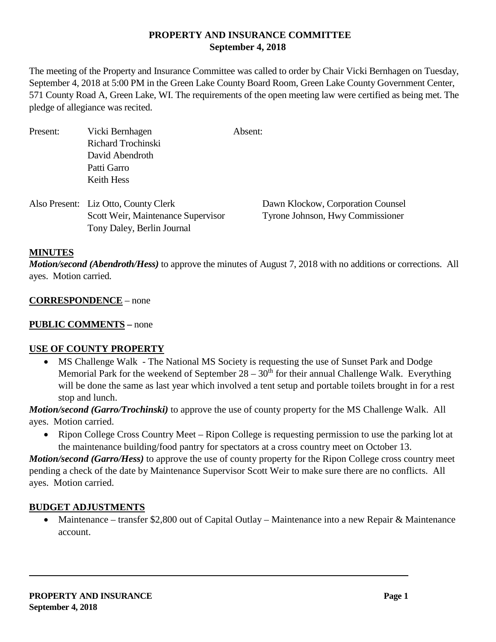# **PROPERTY AND INSURANCE COMMITTEE September 4, 2018**

The meeting of the Property and Insurance Committee was called to order by Chair Vicki Bernhagen on Tuesday, September 4, 2018 at 5:00 PM in the Green Lake County Board Room, Green Lake County Government Center, 571 County Road A, Green Lake, WI. The requirements of the open meeting law were certified as being met. The pledge of allegiance was recited.

| Present: | Vicki Bernhagen                      | Absent:                           |
|----------|--------------------------------------|-----------------------------------|
|          | Richard Trochinski                   |                                   |
|          | David Abendroth                      |                                   |
|          | Patti Garro                          |                                   |
|          | Keith Hess                           |                                   |
|          | Also Present: Liz Otto, County Clerk | Dawn Klockow, Corporation Counsel |
|          | Scott Weir, Maintenance Supervisor   | Tyrone Johnson, Hwy Commissioner  |
|          | Tony Daley, Berlin Journal           |                                   |
|          |                                      |                                   |

### **MINUTES**

*Motion/second (Abendroth/Hess)* to approve the minutes of August 7, 2018 with no additions or corrections. All ayes. Motion carried.

### **CORRESPONDENCE** – none

## **PUBLIC COMMENTS –** none

### **USE OF COUNTY PROPERTY**

• MS Challenge Walk - The National MS Society is requesting the use of Sunset Park and Dodge Memorial Park for the weekend of September  $28 - 30<sup>th</sup>$  for their annual Challenge Walk. Everything will be done the same as last year which involved a tent setup and portable toilets brought in for a rest stop and lunch.

*Motion/second (Garro/Trochinski)* to approve the use of county property for the MS Challenge Walk. All ayes. Motion carried.

• Ripon College Cross Country Meet – Ripon College is requesting permission to use the parking lot at the maintenance building/food pantry for spectators at a cross country meet on October 13.

*Motion/second (Garro/Hess)* to approve the use of county property for the Ripon College cross country meet pending a check of the date by Maintenance Supervisor Scott Weir to make sure there are no conflicts. All ayes. Motion carried.

#### **BUDGET ADJUSTMENTS**

• Maintenance – transfer \$2,800 out of Capital Outlay – Maintenance into a new Repair & Maintenance account.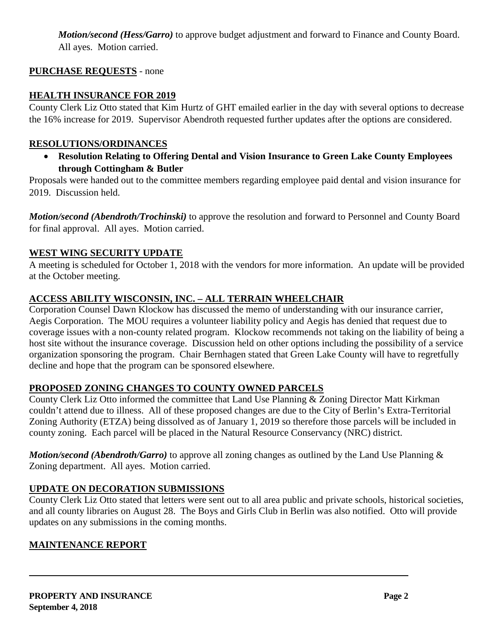*Motion/second (Hess/Garro)* to approve budget adjustment and forward to Finance and County Board. All ayes. Motion carried.

# **PURCHASE REQUESTS** - none

## **HEALTH INSURANCE FOR 2019**

County Clerk Liz Otto stated that Kim Hurtz of GHT emailed earlier in the day with several options to decrease the 16% increase for 2019. Supervisor Abendroth requested further updates after the options are considered.

## **RESOLUTIONS/ORDINANCES**

• **Resolution Relating to Offering Dental and Vision Insurance to Green Lake County Employees through Cottingham & Butler**

Proposals were handed out to the committee members regarding employee paid dental and vision insurance for 2019. Discussion held.

*Motion/second (Abendroth/Trochinski)* to approve the resolution and forward to Personnel and County Board for final approval. All ayes. Motion carried.

## **WEST WING SECURITY UPDATE**

A meeting is scheduled for October 1, 2018 with the vendors for more information. An update will be provided at the October meeting.

# **ACCESS ABILITY WISCONSIN, INC. – ALL TERRAIN WHEELCHAIR**

Corporation Counsel Dawn Klockow has discussed the memo of understanding with our insurance carrier, Aegis Corporation. The MOU requires a volunteer liability policy and Aegis has denied that request due to coverage issues with a non-county related program. Klockow recommends not taking on the liability of being a host site without the insurance coverage. Discussion held on other options including the possibility of a service organization sponsoring the program. Chair Bernhagen stated that Green Lake County will have to regretfully decline and hope that the program can be sponsored elsewhere.

# **PROPOSED ZONING CHANGES TO COUNTY OWNED PARCELS**

County Clerk Liz Otto informed the committee that Land Use Planning & Zoning Director Matt Kirkman couldn't attend due to illness. All of these proposed changes are due to the City of Berlin's Extra-Territorial Zoning Authority (ETZA) being dissolved as of January 1, 2019 so therefore those parcels will be included in county zoning. Each parcel will be placed in the Natural Resource Conservancy (NRC) district.

*Motion/second (Abendroth/Garro)* to approve all zoning changes as outlined by the Land Use Planning  $\&$ Zoning department. All ayes. Motion carried.

# **UPDATE ON DECORATION SUBMISSIONS**

County Clerk Liz Otto stated that letters were sent out to all area public and private schools, historical societies, and all county libraries on August 28. The Boys and Girls Club in Berlin was also notified. Otto will provide updates on any submissions in the coming months.

# **MAINTENANCE REPORT**